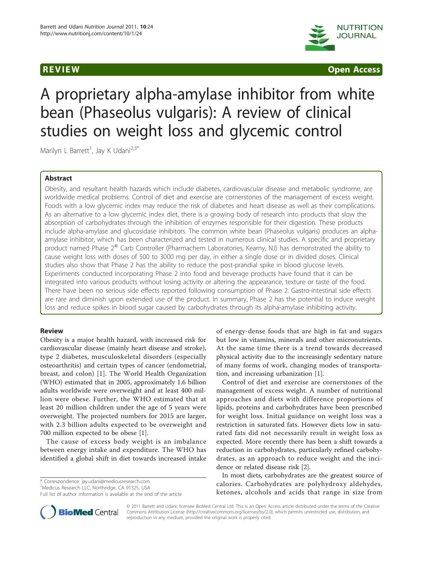



# A proprietary alpha-amylase inhibitor from white bean (Phaseolus vulgaris): A review of clinical studies on weight loss and glycemic control

Marilyn L Barrett<sup>1</sup>, Jay K Udani<sup>2,3\*</sup>

# Abstract

Obesity, and resultant health hazards which include diabetes, cardiovascular disease and metabolic syndrome, are worldwide medical problems. Control of diet and exercise are cornerstones of the management of excess weight. Foods with a low glycemic index may reduce the risk of diabetes and heart disease as well as their complications. As an alternative to a low glycemic index diet, there is a growing body of research into products that slow the absorption of carbohydrates through the inhibition of enzymes responsible for their digestion. These products include alpha-amylase and glucosidase inhibitors. The common white bean (Phaseolus vulgaris) produces an alphaamylase inhibitor, which has been characterized and tested in numerous clinical studies. A specific and proprietary product named Phase  $2^{\circledR}$  Carb Controller (Pharmachem Laboratories, Kearny, NJ) has demonstrated the ability to cause weight loss with doses of 500 to 3000 mg per day, in either a single dose or in divided doses. Clinical studies also show that Phase 2 has the ability to reduce the post-prandial spike in blood glucose levels. Experiments conducted incorporating Phase 2 into food and beverage products have found that it can be integrated into various products without losing activity or altering the appearance, texture or taste of the food. There have been no serious side effects reported following consumption of Phase 2. Gastro-intestinal side effects are rare and diminish upon extended use of the product. In summary, Phase 2 has the potential to induce weight loss and reduce spikes in blood sugar caused by carbohydrates through its alpha-amylase inhibiting activity.

# Review

Obesity is a major health hazard, with increased risk for cardiovascular disease (mainly heart disease and stroke), type 2 diabetes, musculoskeletal disorders (especially osteoarthritis) and certain types of cancer (endometrial, breast, and colon) [[1\]](#page-8-0). The World Health Organization (WHO) estimated that in 2005, approximately 1.6 billion adults worldwide were overweight and at least 400 million were obese. Further, the WHO estimated that at least 20 million children under the age of 5 years were overweight. The projected numbers for 2015 are larger, with 2.3 billion adults expected to be overweight and 700 million expected to be obese [[1\]](#page-8-0).

The cause of excess body weight is an imbalance between energy intake and expenditure. The WHO has identified a global shift in diet towards increased intake

\* Correspondence: [jay.udani@medicusresearch.com](mailto:jay.udani@medicusresearch.com)

of energy-dense foods that are high in fat and sugars but low in vitamins, minerals and other micronutrients. At the same time there is a trend towards decreased physical activity due to the increasingly sedentary nature of many forms of work, changing modes of transportation, and increasing urbanization [\[1](#page-8-0)].

Control of diet and exercise are cornerstones of the management of excess weight. A number of nutritional approaches and diets with difference proportions of lipids, proteins and carbohydrates have been prescribed for weight loss. Initial guidance on weight loss was a restriction in saturated fats. However diets low in saturated fats did not necessarily result in weight loss as expected. More recently there has been a shift towards a reduction in carbohydrates, particularly refined carbohydrates, as an approach to reduce weight and the incidence or related disease risk [\[2](#page-8-0)].

In most diets, carbohydrates are the greatest source of calories. Carbohydrates are polyhydroxy aldehydes, ketones, alcohols and acids that range in size from



© 2011 Barrett and Udani; licensee BioMed Central Ltd. This is an Open Access article distributed under the terms of the Creative Commons Attribution License [\(http://creativecommons.org/licenses/by/2.0](http://creativecommons.org/licenses/by/2.0)), which permits unrestricted use, distribution, and reproduction in any medium, provided the original work is properly cited.

<sup>&</sup>lt;sup>2</sup>Medicus Research LLC, Northridge, CA 91325, USA

Full list of author information is available at the end of the article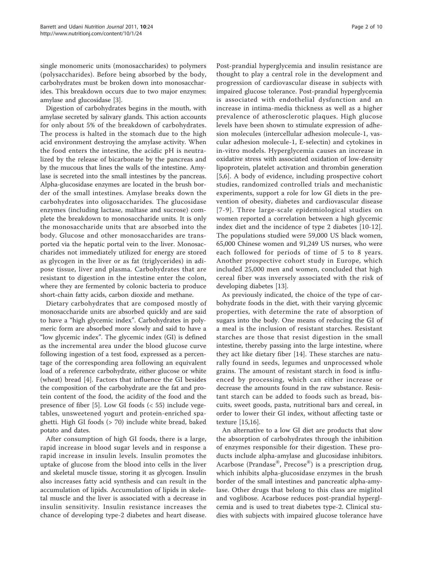single monomeric units (monosaccharides) to polymers (polysaccharides). Before being absorbed by the body, carbohydrates must be broken down into monosaccharides. This breakdown occurs due to two major enzymes: amylase and glucosidase [\[3](#page-8-0)].

Digestion of carbohydrates begins in the mouth, with amylase secreted by salivary glands. This action accounts for only about 5% of the breakdown of carbohydrates. The process is halted in the stomach due to the high acid environment destroying the amylase activity. When the food enters the intestine, the acidic pH is neutralized by the release of bicarbonate by the pancreas and by the mucous that lines the walls of the intestine. Amylase is secreted into the small intestines by the pancreas. Alpha-glucosidase enzymes are located in the brush border of the small intestines. Amylase breaks down the carbohydrates into oligosaccharides. The glucosidase enzymes (including lactase, maltase and sucrose) complete the breakdown to monosaccharide units. It is only the monosaccharide units that are absorbed into the body. Glucose and other monosaccharides are transported via the hepatic portal vein to the liver. Monosaccharides not immediately utilized for energy are stored as glycogen in the liver or as fat (triglycerides) in adipose tissue, liver and plasma. Carbohydrates that are resistant to digestion in the intestine enter the colon, where they are fermented by colonic bacteria to produce short-chain fatty acids, carbon dioxide and methane.

Dietary carbohydrates that are composed mostly of monosaccharide units are absorbed quickly and are said to have a "high glycemic index". Carbohydrates in polymeric form are absorbed more slowly and said to have a "low glycemic index". The glycemic index (GI) is defined as the incremental area under the blood glucose curve following ingestion of a test food, expressed as a percentage of the corresponding area following an equivalent load of a reference carbohydrate, either glucose or white (wheat) bread [[4](#page-8-0)]. Factors that influence the GI besides the composition of the carbohydrate are the fat and protein content of the food, the acidity of the food and the presence of fiber [[5\]](#page-8-0). Low GI foods (< 55) include vegetables, unsweetened yogurt and protein-enriched spaghetti. High GI foods (> 70) include white bread, baked potato and dates.

After consumption of high GI foods, there is a large, rapid increase in blood sugar levels and in response a rapid increase in insulin levels. Insulin promotes the uptake of glucose from the blood into cells in the liver and skeletal muscle tissue, storing it as glycogen. Insulin also increases fatty acid synthesis and can result in the accumulation of lipids. Accumulation of lipids in skeletal muscle and the liver is associated with a decrease in insulin sensitivity. Insulin resistance increases the chance of developing type-2 diabetes and heart disease.

Post-prandial hyperglycemia and insulin resistance are thought to play a central role in the development and progression of cardiovascular disease in subjects with impaired glucose tolerance. Post-prandial hyperglycemia is associated with endothelial dysfunction and an increase in intima-media thickness as well as a higher prevalence of atherosclerotic plaques. High glucose levels have been shown to stimulate expression of adhesion molecules (intercellular adhesion molecule-1, vascular adhesion molecule-1, E-selectin) and cytokines in in-vitro models. Hyperglycemia causes an increase in oxidative stress with associated oxidation of low-density lipoprotein, platelet activation and thrombin generation [[5,6](#page-8-0)]. A body of evidence, including prospective cohort studies, randomized controlled trials and mechanistic experiments, support a role for low GI diets in the prevention of obesity, diabetes and cardiovascular disease [[7-9](#page-8-0)]. Three large-scale epidemiological studies on women reported a correlation between a high glycemic index diet and the incidence of type 2 diabetes [[10-12](#page-8-0)]. The populations studied were 59,000 US black women, 65,000 Chinese women and 91,249 US nurses, who were each followed for periods of time of 5 to 8 years. Another prospective cohort study in Europe, which included 25,000 men and women, concluded that high cereal fiber was inversely associated with the risk of developing diabetes [\[13\]](#page-8-0).

As previously indicated, the choice of the type of carbohydrate foods in the diet, with their varying glycemic properties, with determine the rate of absorption of sugars into the body. One means of reducing the GI of a meal is the inclusion of resistant starches. Resistant starches are those that resist digestion in the small intestine, thereby passing into the large intestine, where they act like dietary fiber [[14\]](#page-8-0). These starches are naturally found in seeds, legumes and unprocessed whole grains. The amount of resistant starch in food is influenced by processing, which can either increase or decrease the amounts found in the raw substance. Resistant starch can be added to foods such as bread, biscuits, sweet goods, pasta, nutritional bars and cereal, in order to lower their GI index, without affecting taste or texture [[15,16\]](#page-8-0).

An alternative to a low GI diet are products that slow the absorption of carbohydrates through the inhibition of enzymes responsible for their digestion. These products include alpha-amylase and glucosidase inhibitors. Acarbose (Prandase®, Precose®) is a prescription drug, which inhibits alpha-glucosidase enzymes in the brush border of the small intestines and pancreatic alpha-amylase. Other drugs that belong to this class are miglitol and voglibose. Acarbose reduces post-prandial hyperglcemia and is used to treat diabetes type-2. Clinical studies with subjects with impaired glucose tolerance have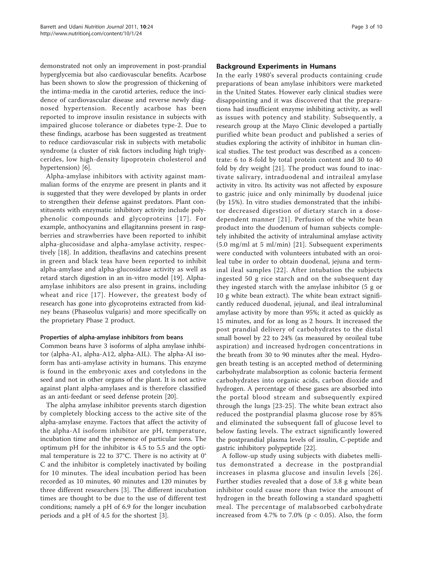demonstrated not only an improvement in post-prandial hyperglycemia but also cardiovascular benefits. Acarbose has been shown to slow the progression of thickening of the intima-media in the carotid arteries, reduce the incidence of cardiovascular disease and reverse newly diagnosed hypertension. Recently acarbose has been reported to improve insulin resistance in subjects with impaired glucose tolerance or diabetes type-2. Due to these findings, acarbose has been suggested as treatment to reduce cardiovascular risk in subjects with metabolic syndrome (a cluster of risk factors including high triglycerides, low high-density lipoprotein cholesterol and hypertension) [[6\]](#page-8-0).

Alpha-amylase inhibitors with activity against mammalian forms of the enzyme are present in plants and it is suggested that they were developed by plants in order to strengthen their defense against predators. Plant constituents with enzymatic inhibitory activity include polyphenolic compounds and glycoproteins [[17](#page-8-0)]. For example, anthocyanins and ellagitannins present in raspberries and strawberries have been reported to inhibit alpha-glucosidase and alpha-amylase activity, respectively [[18\]](#page-8-0). In addition, theaflavins and catechins present in green and black teas have been reported to inhibit alpha-amylase and alpha-glucosidase activity as well as retard starch digestion in an in-vitro model [[19\]](#page-8-0). Alphaamylase inhibitors are also present in grains, including wheat and rice [[17\]](#page-8-0). However, the greatest body of research has gone into glycoproteins extracted from kidney beans (Phaseolus vulgaris) and more specifically on the proprietary Phase 2 product.

# Properties of alpha-amylase inhibitors from beans

Common beans have 3 isoforms of alpha amylase inhibitor (alpha-A1, alpha-A12, alpha-AIL). The alpha-AI isoform has anti-amylase activity in humans. This enzyme is found in the embryonic axes and cotyledons in the seed and not in other organs of the plant. It is not active against plant alpha-amylases and is therefore classified as an anti-feedant or seed defense protein [\[20](#page-8-0)].

The alpha amylase inhibitor prevents starch digestion by completely blocking access to the active site of the alpha-amylase enzyme. Factors that affect the activity of the alpha-AI isoform inhibitor are pH, temperature, incubation time and the presence of particular ions. The optimum pH for the inhibitor is 4.5 to 5.5 and the optimal temperature is 22 to 37°C. There is no activity at 0° C and the inhibitor is completely inactivated by boiling for 10 minutes. The ideal incubation period has been recorded as 10 minutes, 40 minutes and 120 minutes by three different researchers [[3\]](#page-8-0). The different incubation times are thought to be due to the use of different test conditions; namely a pH of 6.9 for the longer incubation periods and a pH of 4.5 for the shortest [\[3](#page-8-0)].

# Background Experiments in Humans

In the early 1980's several products containing crude preparations of bean amylase inhibitors were marketed in the United States. However early clinical studies were disappointing and it was discovered that the preparations had insufficient enzyme inhibiting activity, as well as issues with potency and stability. Subsequently, a research group at the Mayo Clinic developed a partially purified white bean product and published a series of studies exploring the activity of inhibitor in human clinical studies. The test product was described as a concentrate: 6 to 8-fold by total protein content and 30 to 40 fold by dry weight [\[21\]](#page-8-0). The product was found to inactivate salivary, intraduodenal and intraileal amylase activity in vitro. Its activity was not affected by exposure to gastric juice and only minimally by duodenal juice (by 15%). In vitro studies demonstrated that the inhibitor decreased digestion of dietary starch in a dosedependent manner [[21\]](#page-8-0). Perfusion of the white bean product into the duodenum of human subjects completely inhibited the activity of intraluminal amylase activity (5.0 mg/ml at 5 ml/min) [\[21](#page-8-0)]. Subsequent experiments were conducted with volunteers intubated with an oroileal tube in order to obtain duodenal, jejuna and terminal ileal samples [[22\]](#page-8-0). After intubation the subjects ingested 50 g rice starch and on the subsequent day they ingested starch with the amylase inhibitor (5 g or 10 g white bean extract). The white bean extract significantly reduced duodenal, jejunal, and ileal intraluminal amylase activity by more than 95%; it acted as quickly as 15 minutes, and for as long as 2 hours. It increased the post prandial delivery of carbohydrates to the distal small bowel by 22 to 24% (as measured by oroileal tube aspiration) and increased hydrogen concentrations in the breath from 30 to 90 minutes after the meal. Hydrogen breath testing is an accepted method of determining carbohydrate malabsorption as colonic bacteria ferment carbohydrates into organic acids, carbon dioxide and hydrogen. A percentage of these gases are absorbed into the portal blood stream and subsequently expired through the lungs [\[23-25](#page-8-0)]. The white bean extract also reduced the postprandial plasma glucose rose by 85% and eliminated the subsequent fall of glucose level to below fasting levels. The extract significantly lowered the postprandial plasma levels of insulin, C-peptide and gastric inhibitory polypeptide [\[22\]](#page-8-0).

A follow-up study using subjects with diabetes mellitus demonstrated a decrease in the postprandial increases in plasma glucose and insulin levels [[26\]](#page-8-0). Further studies revealed that a dose of 3.8 g white bean inhibitor could cause more than twice the amount of hydrogen in the breath following a standard spaghetti meal. The percentage of malabsorbed carbohydrate increased from 4.7% to 7.0% ( $p < 0.05$ ). Also, the form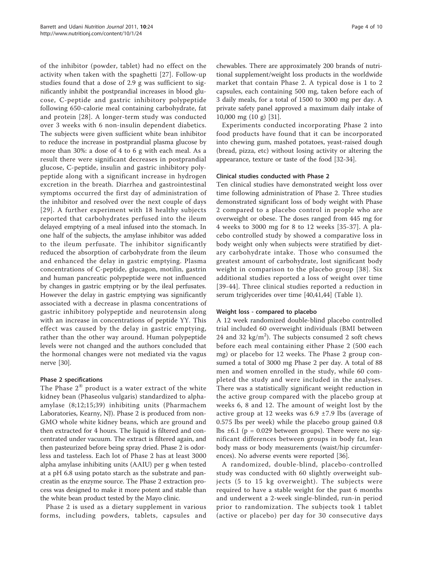of the inhibitor (powder, tablet) had no effect on the activity when taken with the spaghetti [[27](#page-8-0)]. Follow-up studies found that a dose of 2.9 g was sufficient to significantly inhibit the postprandial increases in blood glucose, C-peptide and gastric inhibitory polypeptide following 650-calorie meal containing carbohydrate, fat and protein [\[28\]](#page-8-0). A longer-term study was conducted over 3 weeks with 6 non-insulin dependent diabetics. The subjects were given sufficient white bean inhibitor to reduce the increase in postprandial plasma glucose by more than 30%: a dose of 4 to 6 g with each meal. As a result there were significant decreases in postprandial glucose, C-peptide, insulin and gastric inhibitory polypeptide along with a significant increase in hydrogen excretion in the breath. Diarrhea and gastrointestinal symptoms occurred the first day of administration of the inhibitor and resolved over the next couple of days [[29\]](#page-8-0). A further experiment with 18 healthy subjects reported that carbohydrates perfused into the ileum delayed emptying of a meal infused into the stomach. In one half of the subjects, the amylase inhibitor was added to the ileum perfusate. The inhibitor significantly reduced the absorption of carbohydrate from the ileum and enhanced the delay in gastric emptying. Plasma concentrations of C-peptide, glucagon, motilin, gastrin and human pancreatic polypeptide were not influenced by changes in gastric emptying or by the ileal perfusates. However the delay in gastric emptying was significantly associated with a decrease in plasma concentrations of gastric inhibitory polypeptide and neurotensin along with an increase in concentrations of peptide YY. This effect was caused by the delay in gastric emptying, rather than the other way around. Human polypeptide levels were not changed and the authors concluded that the hormonal changes were not mediated via the vagus nerve [\[30](#page-8-0)].

# Phase 2 specifications

The Phase  $2^{\mathfrak{B}}$  product is a water extract of the white kidney bean (Phaseolus vulgaris) standardized to alphaamylase (8;12;15;39) inhibiting units (Pharmachem Laboratories, Kearny, NJ). Phase 2 is produced from non-GMO whole white kidney beans, which are ground and then extracted for 4 hours. The liquid is filtered and concentrated under vacuum. The extract is filtered again, and then pasteurized before being spray dried. Phase 2 is odorless and tasteless. Each lot of Phase 2 has at least 3000 alpha amylase inhibiting units (AAIU) per g when tested at a pH 6.8 using potato starch as the substrate and pancreatin as the enzyme source. The Phase 2 extraction process was designed to make it more potent and stable than the white bean product tested by the Mayo clinic.

Phase 2 is used as a dietary supplement in various forms, including powders, tablets, capsules and chewables. There are approximately 200 brands of nutritional supplement/weight loss products in the worldwide market that contain Phase 2. A typical dose is 1 to 2 capsules, each containing 500 mg, taken before each of 3 daily meals, for a total of 1500 to 3000 mg per day. A private safety panel approved a maximum daily intake of 10,000 mg (10 g) [[31\]](#page-8-0).

Experiments conducted incorporating Phase 2 into food products have found that it can be incorporated into chewing gum, mashed potatoes, yeast-raised dough (bread, pizza, etc) without losing activity or altering the appearance, texture or taste of the food [[32-34\]](#page-8-0).

### Clinical studies conducted with Phase 2

Ten clinical studies have demonstrated weight loss over time following administration of Phase 2. Three studies demonstrated significant loss of body weight with Phase 2 compared to a placebo control in people who are overweight or obese. The doses ranged from 445 mg for 4 weeks to 3000 mg for 8 to 12 weeks [[35](#page-8-0)-[37](#page-8-0)]. A placebo controlled study by showed a comparative loss in body weight only when subjects were stratified by dietary carbohydrate intake. Those who consumed the greatest amount of carbohydrate, lost significant body weight in comparison to the placebo group [\[38\]](#page-8-0). Six additional studies reported a loss of weight over time [[39](#page-8-0)-[44](#page-9-0)]. Three clinical studies reported a reduction in serum triglycerides over time [\[40,41,](#page-8-0)[44\]](#page-9-0) (Table [1](#page-4-0)).

#### Weight loss - compared to placebo

A 12 week randomized double-blind placebo controlled trial included 60 overweight individuals (BMI between 24 and 32  $\text{kg/m}^2$ ). The subjects consumed 2 soft chews before each meal containing either Phase 2 (500 each mg) or placebo for 12 weeks. The Phase 2 group consumed a total of 3000 mg Phase 2 per day. A total of 88 men and women enrolled in the study, while 60 completed the study and were included in the analyses. There was a statistically significant weight reduction in the active group compared with the placebo group at weeks 6, 8 and 12. The amount of weight lost by the active group at 12 weeks was  $6.9 \pm 7.9$  lbs (average of 0.575 lbs per week) while the placebo group gained 0.8 lbs  $\pm 6.1$  (p = 0.029 between groups). There were no significant differences between groups in body fat, lean body mass or body measurements (waist/hip circumferences). No adverse events were reported [\[36\]](#page-8-0).

A randomized, double-blind, placebo-controlled study was conducted with 60 slightly overweight subjects (5 to 15 kg overweight). The subjects were required to have a stable weight for the past 6 months and underwent a 2-week single-blinded, run-in period prior to randomization. The subjects took 1 tablet (active or placebo) per day for 30 consecutive days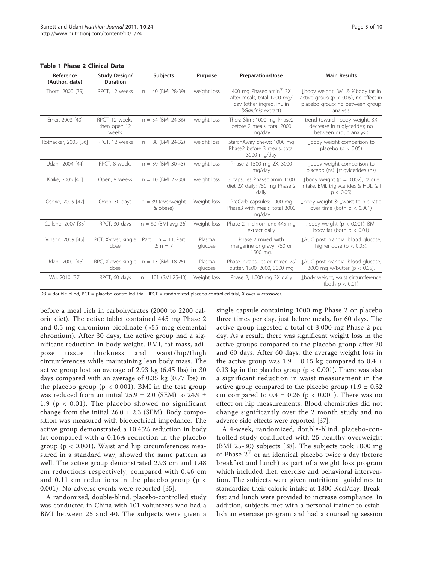<span id="page-4-0"></span>

|  |  |  |  | <b>Table 1 Phase 2 Clinical Data</b> |  |
|--|--|--|--|--------------------------------------|--|
|--|--|--|--|--------------------------------------|--|

| Reference<br>(Author, date) | Study Design/<br><b>Duration</b>         | <b>Subjects</b>                       | Purpose           | <b>Preparation/Dose</b>                                                                                  | <b>Main Results</b>                                                                                                          |
|-----------------------------|------------------------------------------|---------------------------------------|-------------------|----------------------------------------------------------------------------------------------------------|------------------------------------------------------------------------------------------------------------------------------|
| Thom, 2000 [39]             | RPCT, 12 weeks                           | $n = 40$ (BMI 28-39)                  | weight loss       | 400 mg Phaseolamin® 3X<br>after meals, total 1200 mg/<br>day (other ingred. inulin<br>&Garcinia extract) | Lbody weight, BMI & %body fat in<br>active group ( $p < 0.05$ ), no effect in<br>placebo group; no between group<br>analysis |
| Erner, 2003 [40]            | RPCT, 12 weeks,<br>then open 12<br>weeks | $n = 54$ (BMI 24-36)                  | weight loss       | Thera-Slim: 1000 mg Phase2<br>before 2 meals, total 2000<br>mg/day                                       | trend toward Jbody weight, 3X<br>decrease in triglycerides; no<br>between group analysis                                     |
| Rothacker, 2003 [36]        | RPCT, 12 weeks                           | $n = 88$ (BMI 24-32)                  | weight loss       | StarchAway chews: 1000 mg<br>Phase2 before 3 meals, total<br>3000 mg/day                                 | Jbody weight comparison to<br>placebo ( $p < 0.05$ )                                                                         |
| Udani, 2004 [44]            | RPCT, 8 weeks                            | $n = 39$ (BMI 30-43)                  | weight loss       | Phase 2 1500 mg 2X, 3000<br>mg/day                                                                       | Jbody weight comparison to<br>placebo (ns) Itrigylcerides (ns)                                                               |
| Koike, 2005 [41]            | Open, 8 weeks                            | $n = 10$ (BMI 23-30)                  | weight loss       | 3 capsules Phaseolamin 1600<br>diet 2X daily; 750 mg Phase 2<br>daily                                    | Lbody weight ( $p = 0.002$ ), calorie<br>intake, BMI, triglycerides & HDL (all<br>p < 0.05                                   |
| Osorio, 2005 [42]           | Open, 30 days                            | $n = 39$ (overweight<br>& obese)      | Weight loss       | PreCarb capsules: 1000 mg<br>Phase3 with meals, total 3000<br>mg/day                                     | Jbody weight & Jwaist to hip ratio<br>over time (both $p < 0.001$ )                                                          |
| Celleno, 2007 [35]          | RPCT, 30 days                            | $n = 60$ (BMI avg 26)                 | Weight loss       | Phase $2 +$ chromium; 445 mg<br>extract daily                                                            | Jbody weight ( $p < 0.001$ ), BMI,<br>body fat (both $p < 0.01$ )                                                            |
| Vinson, 2009 [45]           | PCT, X-over, single<br>dose              | Part 1: $n = 11$ , Part<br>2: $n = 7$ | Plasma<br>glucose | Phase 2 mixed with<br>margarine or gravy. 750 or<br>1500 mg.                                             | JAUC post prandial blood glucose;<br>higher dose ( $p < 0.05$ ).                                                             |
| Udani, 2009 [46]            | RPC, X-over, single<br>dose              | $n = 13$ (BMI 18-25)                  | Plasma<br>glucose | Phase 2 capsules or mixed w/<br>butter. 1500, 2000, 3000 mg                                              | JAUC post prandial blood glucose;<br>3000 mg w/butter ( $p < 0.05$ ).                                                        |
| Wu, 2010 [37]               | RPCT, 60 days                            | $n = 101$ (BMI 25-40)                 | Weight loss       | Phase 2; 1,000 mg 3X daily                                                                               | Jbody weight, waist circumference<br>(both $p < 0.01$ )                                                                      |

DB = double-blind, PCT = placebo-controlled trial, RPCT = randomized placebo-controlled trial, X-over = crossover.

before a meal rich in carbohydrates (2000 to 2200 calorie diet). The active tablet contained 445 mg Phase 2 and 0.5 mg chromium picolinate (≈55 mcg elemental chromium). After 30 days, the active group had a significant reduction in body weight, BMI, fat mass, adipose tissue thickness and waist/hip/thigh circumferences while maintaining lean body mass. The active group lost an average of 2.93 kg (6.45 lbs) in 30 days compared with an average of 0.35 kg (0.77 lbs) in the placebo group ( $p < 0.001$ ). BMI in the test group was reduced from an initial 25.9  $\pm$  2.0 (SEM) to 24.9  $\pm$ 1.9 ( $p < 0.01$ ). The placebo showed no significant change from the initial  $26.0 \pm 2.3$  (SEM). Body composition was measured with bioelectrical impedance. The active group demonstrated a 10.45% reduction in body fat compared with a 0.16% reduction in the placebo group ( $p < 0.001$ ). Waist and hip circumferences measured in a standard way, showed the same pattern as well. The active group demonstrated 2.93 cm and 1.48 cm reductions respectively, compared with 0.46 cm and 0.11 cm reductions in the placebo group ( $p <$ 0.001). No adverse events were reported [[35\]](#page-8-0).

A randomized, double-blind, placebo-controlled study was conducted in China with 101 volunteers who had a BMI between 25 and 40. The subjects were given a

single capsule containing 1000 mg Phase 2 or placebo three times per day, just before meals, for 60 days. The active group ingested a total of 3,000 mg Phase 2 per day. As a result, there was significant weight loss in the active groups compared to the placebo group after 30 and 60 days. After 60 days, the average weight loss in the active group was  $1.9 \pm 0.15$  kg compared to  $0.4 \pm 1.5$ 0.13 kg in the placebo group ( $p < 0.001$ ). There was also a significant reduction in waist measurement in the active group compared to the placebo group  $(1.9 \pm 0.32)$ cm compared to  $0.4 \pm 0.26$  (p < 0.001). There was no effect on hip measurements. Blood chemistries did not change significantly over the 2 month study and no adverse side effects were reported [[37\]](#page-8-0).

A 4-week, randomized, double-blind, placebo-controlled study conducted with 25 healthy overweight (BMI 25-30) subjects [[38](#page-8-0)]. The subjects took 1000 mg of Phase  $2^{\infty}$  or an identical placebo twice a day (before breakfast and lunch) as part of a weight loss program which included diet, exercise and behavioral intervention. The subjects were given nutritional guidelines to standardize their caloric intake at 1800 Kcal/day. Breakfast and lunch were provided to increase compliance. In addition, subjects met with a personal trainer to establish an exercise program and had a counseling session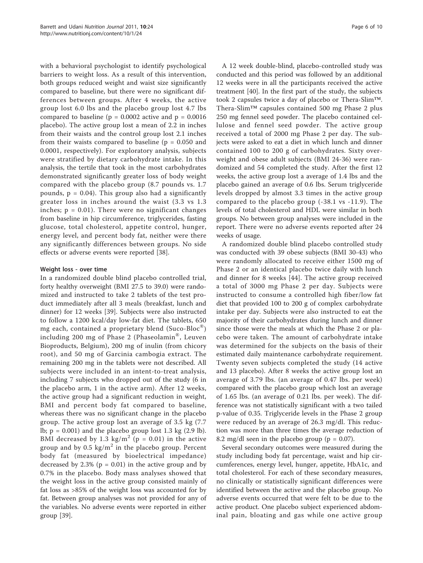with a behavioral psychologist to identify psychological barriers to weight loss. As a result of this intervention, both groups reduced weight and waist size significantly compared to baseline, but there were no significant differences between groups. After 4 weeks, the active group lost 6.0 lbs and the placebo group lost 4.7 lbs compared to baseline ( $p = 0.0002$  active and  $p = 0.0016$ ) placebo). The active group lost a mean of 2.2 in inches from their waists and the control group lost 2.1 inches from their waists compared to baseline ( $p = 0.050$  and 0.0001, respectively). For exploratory analysis, subjects were stratified by dietary carbohydrate intake. In this analysis, the tertile that took in the most carbohydrates demonstrated significantly greater loss of body weight compared with the placebo group (8.7 pounds vs. 1.7 pounds,  $p = 0.04$ ). This group also had a significantly greater loss in inches around the waist (3.3 vs 1.3 inches;  $p = 0.01$ ). There were no significant changes from baseline in hip circumference, triglycerides, fasting glucose, total cholesterol, appetite control, hunger, energy level, and percent body fat, neither were there any significantly differences between groups. No side effects or adverse events were reported [\[38](#page-8-0)].

# Weight loss - over time

In a randomized double blind placebo controlled trial, forty healthy overweight (BMI 27.5 to 39.0) were randomized and instructed to take 2 tablets of the test product immediately after all 3 meals (breakfast, lunch and dinner) for 12 weeks [\[39](#page-8-0)]. Subjects were also instructed to follow a 1200 kcal/day low-fat diet. The tablets, 650 mg each, contained a proprietary blend (Suco-Bloc®) including 200 mg of Phase 2 (Phaseolamin®, Leuven Bioproducts, Belgium), 200 mg of inulin (from chicory root), and 50 mg of Garcinia cambogia extract. The remaining 200 mg in the tablets were not described. All subjects were included in an intent-to-treat analysis, including 7 subjects who dropped out of the study (6 in the placebo arm, 1 in the active arm). After 12 weeks, the active group had a significant reduction in weight, BMI and percent body fat compared to baseline, whereas there was no significant change in the placebo group. The active group lost an average of 3.5 kg (7.7 lb;  $p = 0.001$ ) and the placebo group lost 1.3 kg (2.9 lb). BMI decreased by 1.3 kg/m<sup>2</sup> ( $p = 0.01$ ) in the active group and by  $0.5 \text{ kg/m}^2$  in the placebo group. Percent body fat (measured by bioelectrical impedance) decreased by 2.3% ( $p = 0.01$ ) in the active group and by 0.7% in the placebo. Body mass analyses showed that the weight loss in the active group consisted mainly of fat loss as >85% of the weight loss was accounted for by fat. Between group analyses was not provided for any of the variables. No adverse events were reported in either group [[39\]](#page-8-0).

A 12 week double-blind, placebo-controlled study was conducted and this period was followed by an additional 12 weeks were in all the participants received the active treatment [[40\]](#page-8-0). In the first part of the study, the subjects took 2 capsules twice a day of placebo or Thera-Slim™. Thera-Slim™ capsules contained 500 mg Phase 2 plus 250 mg fennel seed powder. The placebo contained cellulose and fennel seed powder. The active group received a total of 2000 mg Phase 2 per day. The subjects were asked to eat a diet in which lunch and dinner contained 100 to 200 g of carbohydrates. Sixty overweight and obese adult subjects (BMI 24-36) were randomized and 54 completed the study. After the first 12 weeks, the active group lost a average of 1.4 lbs and the placebo gained an average of 0.6 lbs. Serum triglyceride levels dropped by almost 3.3 times in the active group compared to the placebo group (-38.1 vs -11.9). The levels of total cholesterol and HDL were similar in both groups. No between group analyses were included in the report. There were no adverse events reported after 24 weeks of usage.

A randomized double blind placebo controlled study was conducted with 39 obese subjects (BMI 30-43) who were randomly allocated to receive either 1500 mg of Phase 2 or an identical placebo twice daily with lunch and dinner for 8 weeks [[44\]](#page-9-0). The active group received a total of 3000 mg Phase 2 per day. Subjects were instructed to consume a controlled high fiber/low fat diet that provided 100 to 200 g of complex carbohydrate intake per day. Subjects were also instructed to eat the majority of their carbohydrates during lunch and dinner since those were the meals at which the Phase 2 or placebo were taken. The amount of carbohydrate intake was determined for the subjects on the basis of their estimated daily maintenance carbohydrate requirement. Twenty seven subjects completed the study (14 active and 13 placebo). After 8 weeks the active group lost an average of 3.79 lbs. (an average of 0.47 lbs. per week) compared with the placebo group which lost an average of 1.65 lbs. (an average of 0.21 lbs. per week). The difference was not statistically significant with a two tailed p-value of 0.35. Triglyceride levels in the Phase 2 group were reduced by an average of 26.3 mg/dl. This reduction was more than three times the average reduction of 8.2 mg/dl seen in the placebo group ( $p = 0.07$ ).

Several secondary outcomes were measured during the study including body fat percentage, waist and hip circumferences, energy level, hunger, appetite, HbA1c, and total cholesterol. For each of these secondary measures, no clinically or statistically significant differences were identified between the active and the placebo group. No adverse events occurred that were felt to be due to the active product. One placebo subject experienced abdominal pain, bloating and gas while one active group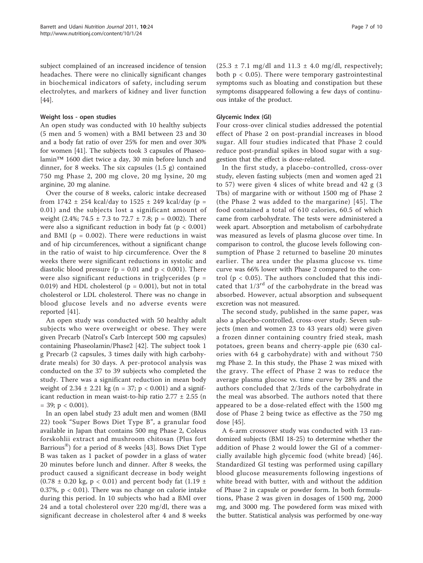subject complained of an increased incidence of tension headaches. There were no clinically significant changes in biochemical indicators of safety, including serum electrolytes, and markers of kidney and liver function [[44\]](#page-9-0).

# Weight loss - open studies

An open study was conducted with 10 healthy subjects (5 men and 5 women) with a BMI between 23 and 30 and a body fat ratio of over 25% for men and over 30% for women [[41\]](#page-8-0). The subjects took 3 capsules of Phaseolamin™ 1600 diet twice a day, 30 min before lunch and dinner, for 8 weeks. The six capsules (1.5 g) contained 750 mg Phase 2, 200 mg clove, 20 mg lysine, 20 mg arginine, 20 mg alanine.

Over the course of 8 weeks, caloric intake decreased from 1742  $\pm$  254 kcal/day to 1525  $\pm$  249 kcal/day (p = 0.01) and the subjects lost a significant amount of weight (2.4%; 74.5  $\pm$  7.3 to 72.7  $\pm$  7.8; p = 0.002). There were also a significant reduction in body fat ( $p < 0.001$ ) and BMI ( $p = 0.002$ ). There were reductions in waist and of hip circumferences, without a significant change in the ratio of waist to hip circumference. Over the 8 weeks there were significant reductions in systolic and diastolic blood pressure ( $p = 0.01$  and  $p < 0.001$ ). There were also significant reductions in triglycerides ( $p =$ 0.019) and HDL cholesterol ( $p = 0.001$ ), but not in total cholesterol or LDL cholesterol. There was no change in blood glucose levels and no adverse events were reported [[41\]](#page-8-0).

An open study was conducted with 50 healthy adult subjects who were overweight or obese. They were given Precarb (Natrol's Carb Intercept 500 mg capsules) containing Phaseolamin/Phase2 [[42\]](#page-8-0). The subject took 1 g Precarb (2 capsules, 3 times daily with high carbohydrate meals) for 30 days. A per-protocol analysis was conducted on the 37 to 39 subjects who completed the study. There was a significant reduction in mean body weight of  $2.34 \pm 2.21$  kg (n = 37; p < 0.001) and a significant reduction in mean waist-to-hip ratio 2.77 ± 2.55 (n  $=$  39; p  $<$  0.001).

In an open label study 23 adult men and women (BMI 22) took "Super Bows Diet Type B", a granular food available in Japan that contains 500 mg Phase 2, Coleus forskohlii extract and mushroom chitosan (Plus fort Barrious®) for a period of 8 weeks [[43\]](#page-9-0). Bows Diet Type B was taken as 1 packet of powder in a glass of water 20 minutes before lunch and dinner. After 8 weeks, the product caused a significant decrease in body weight  $(0.78 \pm 0.20 \text{ kg}, \, \text{p} < 0.01)$  and percent body fat  $(1.19 \pm 0.01)$ 0.37%,  $p < 0.01$ ). There was no change on calorie intake during this period. In 10 subjects who had a BMI over 24 and a total cholesterol over 220 mg/dl, there was a significant decrease in cholesterol after 4 and 8 weeks  $(25.3 \pm 7.1 \text{ mg/dl}$  and  $11.3 \pm 4.0 \text{ mg/dl}$ , respectively; both  $p < 0.05$ ). There were temporary gastrointestinal symptoms such as bloating and constipation but these symptoms disappeared following a few days of continuous intake of the product.

# Glycemic Index (GI)

Four cross-over clinical studies addressed the potential effect of Phase 2 on post-prandial increases in blood sugar. All four studies indicated that Phase 2 could reduce post-prandial spikes in blood sugar with a suggestion that the effect is dose-related.

In the first study, a placebo-controlled, cross-over study, eleven fasting subjects (men and women aged 21 to 57) were given 4 slices of white bread and 42 g (3 Tbs) of margarine with or without 1500 mg of Phase 2 (the Phase 2 was added to the margarine) [[45\]](#page-9-0). The food contained a total of 610 calories, 60.5 of which came from carbohydrate. The tests were administered a week apart. Absorption and metabolism of carbohydrate was measured as levels of plasma glucose over time. In comparison to control, the glucose levels following consumption of Phase 2 returned to baseline 20 minutes earlier. The area under the plasma glucose vs. time curve was 66% lower with Phase 2 compared to the control ( $p < 0.05$ ). The authors concluded that this indicated that  $1/3^{rd}$  of the carbohydrate in the bread was absorbed. However, actual absorption and subsequent excretion was not measured.

The second study, published in the same paper, was also a placebo-controlled, cross-over study. Seven subjects (men and women 23 to 43 years old) were given a frozen dinner containing country fried steak, mash potatoes, green beans and cherry-apple pie (630 calories with 64 g carbohydrate) with and without 750 mg Phase 2. In this study, the Phase 2 was mixed with the gravy. The effect of Phase 2 was to reduce the average plasma glucose vs. time curve by 28% and the authors concluded that 2/3rds of the carbohydrate in the meal was absorbed. The authors noted that there appeared to be a dose-related effect with the 1500 mg dose of Phase 2 being twice as effective as the 750 mg dose [\[45](#page-9-0)].

A 6-arm crossover study was conducted with 13 randomized subjects (BMI 18-25) to determine whether the addition of Phase 2 would lower the GI of a commercially available high glycemic food (white bread) [[46](#page-9-0)]. Standardized GI testing was performed using capillary blood glucose measurements following ingestions of white bread with butter, with and without the addition of Phase 2 in capsule or powder form. In both formulations, Phase 2 was given in dosages of 1500 mg, 2000 mg, and 3000 mg. The powdered form was mixed with the butter. Statistical analysis was performed by one-way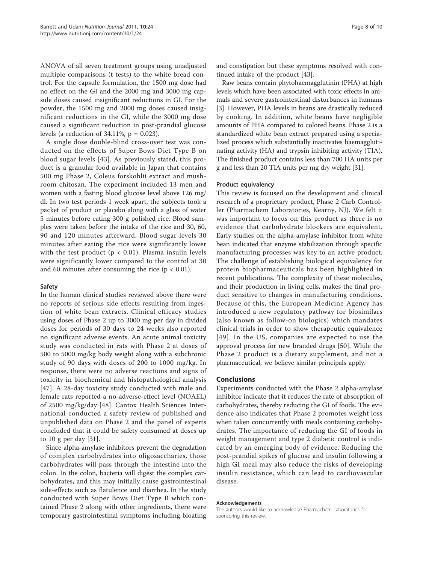ANOVA of all seven treatment groups using unadjusted multiple comparisons (t tests) to the white bread control. For the capsule formulation, the 1500 mg dose had no effect on the GI and the 2000 mg and 3000 mg capsule doses caused insignificant reductions in GI. For the powder, the 1500 mg and 2000 mg doses caused insignificant reductions in the GI, while the 3000 mg dose caused a significant reduction in post-prandial glucose levels (a reduction of  $34.11\%$ ,  $p = 0.023$ ).

A single dose double-blind cross-over test was conducted on the effects of Super Bows Diet Type B on blood sugar levels [[43](#page-9-0)]. As previously stated, this product is a granular food available in Japan that contains 500 mg Phase 2, Coleus forskohlii extract and mushroom chitosan. The experiment included 13 men and women with a fasting blood glucose level above 126 mg/ dl. In two test periods 1 week apart, the subjects took a packet of product or placebo along with a glass of water 5 minutes before eating 300 g polished rice. Blood samples were taken before the intake of the rice and 30, 60, 90 and 120 minutes afterward. Blood sugar levels 30 minutes after eating the rice were significantly lower with the test product ( $p < 0.01$ ). Plasma insulin levels were significantly lower compared to the control at 30 and 60 minutes after consuming the rice  $(p < 0.01)$ .

## Safety

In the human clinical studies reviewed above there were no reports of serious side effects resulting from ingestion of white bean extracts. Clinical efficacy studies using doses of Phase 2 up to 3000 mg per day in divided doses for periods of 30 days to 24 weeks also reported no significant adverse events. An acute animal toxicity study was conducted in rats with Phase 2 at doses of 500 to 5000 mg/kg body weight along with a subchronic study of 90 days with doses of 200 to 1000 mg/kg. In response, there were no adverse reactions and signs of toxicity in biochemical and histopathological analysis [[47](#page-9-0)]. A 28-day toxicity study conducted with male and female rats reported a no-adverse-effect level (NOAEL) of 2500 mg/kg/day [\[48](#page-9-0)]. Cantox Health Sciences International conducted a safety review of published and unpublished data on Phase 2 and the panel of experts concluded that it could be safety consumed at doses up to 10 g per day [[31\]](#page-8-0).

Since alpha-amylase inhibitors prevent the degradation of complex carbohydrates into oligosaccharies, those carbohydrates will pass through the intestine into the colon. In the colon, bacteria will digest the complex carbohydrates, and this may initially cause gastrointestinal side-effects such as flatulence and diarrhea. In the study conducted with Super Bows Diet Type B which contained Phase 2 along with other ingredients, there were temporary gastrointestinal symptoms including bloating and constipation but these symptoms resolved with continued intake of the product [\[43](#page-9-0)].

Raw beans contain phytohaemagglutinin (PHA) at high levels which have been associated with toxic effects in animals and severe gastrointestinal disturbances in humans [[3\]](#page-8-0). However, PHA levels in beans are drastically reduced by cooking. In addition, white beans have negligible amounts of PHA compared to colored beans. Phase 2 is a standardized white bean extract prepared using a specialized process which substantially inactivates haemagglutinating activity (HA) and trypsin inhibiting activity (TIA). The finished product contains less than 700 HA units per g and less than 20 TIA units per mg dry weight [\[31\]](#page-8-0).

#### Product equivalency

This review is focused on the development and clinical research of a proprietary product, Phase 2 Carb Controller (Pharmachem Laboratories, Kearny, NJ). We felt it was important to focus on this product as there is no evidence that carbohydrate blockers are equivalent. Early studies on the alpha-amylase inhibitor from white bean indicated that enzyme stabilization through specific manufacturing processes was key to an active product. The challenge of establishing biological equivalency for protein biopharmaceuticals has been highlighted in recent publications. The complexity of these molecules, and their production in living cells, makes the final product sensitive to changes in manufacturing conditions. Because of this, the European Medicine Agency has introduced a new regulatory pathway for biosimilars (also known as follow-on biologics) which mandates clinical trials in order to show therapeutic equivalence [[49](#page-9-0)]. In the US, companies are expected to use the approval process for new branded drugs [[50\]](#page-9-0). While the Phase 2 product is a dietary supplement, and not a pharmaceutical, we believe similar principals apply.

#### Conclusions

Experiments conducted with the Phase 2 alpha-amylase inhibitor indicate that it reduces the rate of absorption of carbohydrates, thereby reducing the GI of foods. The evidence also indicates that Phase 2 promotes weight loss when taken concurrently with meals containing carbohydrates. The importance of reducing the GI of foods in weight management and type 2 diabetic control is indicated by an emerging body of evidence. Reducing the post-prandial spikes of glucose and insulin following a high GI meal may also reduce the risks of developing insulin resistance, which can lead to cardiovascular disease.

#### Acknowledgements

The authors would like to acknowledge Pharmachem Laboratories for sponsoring this review.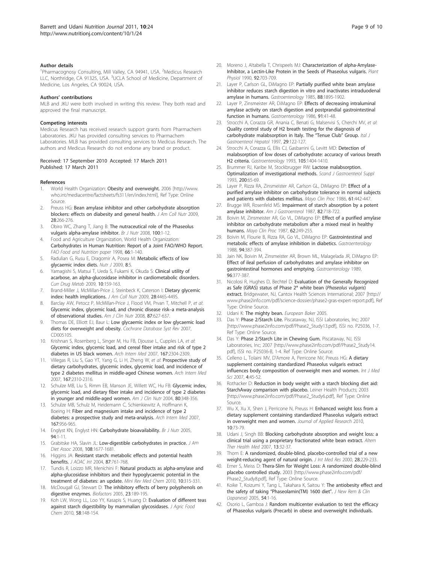#### <span id="page-8-0"></span>Author details

<sup>1</sup>Pharmacognosy Consulting, Mill Valley, CA 94941, USA. <sup>2</sup>Medicus Research LLC, Northridge, CA 91325, USA. <sup>3</sup>UCLA School of Medicine, Department of Medicine, Los Angeles, CA 90024, USA.

#### Authors' contributions

MLB and JKU were both involved in writing this review. They both read and approved the final manuscript.

#### Competing interests

Medicus Research has received research support grants from Pharmachem Laboratories. JKU has provided consulting services to Pharmachem Laboratories. MLB has provided consulting services to Medicus Research. The authors and Medicus Research do not endorse any brand or product.

#### Received: 17 September 2010 Accepted: 17 March 2011 Published: 17 March 2011

#### References

- 1. World Health Organization: Obesity and overweight. 2006 [\[http://www.](http://www.who.int/mediacentre/factsheets/fs311/en/index.html) [who.int/mediacentre/factsheets/fs311/en/index.html](http://www.who.int/mediacentre/factsheets/fs311/en/index.html)], Ref Type: Online Source.
- 2. Preuss HG: [Bean amylase inhibitor and other carbohydrate absorption](http://www.ncbi.nlm.nih.gov/pubmed/20150600?dopt=Abstract) [blockers: effects on diabesity and general health.](http://www.ncbi.nlm.nih.gov/pubmed/20150600?dopt=Abstract) J Am Coll Nutr 2009, 28:266-276.
- 3. Obiro WC, Zhang T, Jiang B: [The nutraceutical role of the Phaseolus](http://www.ncbi.nlm.nih.gov/pubmed/18331662?dopt=Abstract) [vulgaris alpha-amylase inhibitor.](http://www.ncbi.nlm.nih.gov/pubmed/18331662?dopt=Abstract) Br J Nutr 2008, 100:1-12.
- 4. Food and Agriculture Organization, World Health Organization: [Carbohydrates in Human Nutrition: Report of a Joint FAO/WHO Report.](http://www.ncbi.nlm.nih.gov/pubmed/9743703?dopt=Abstract) FAO Food and Nutrition paper 1998, 66:1-140.
- Radulian G, Rusu E, Dragomir A, Posea M: [Metabolic effects of low](http://www.ncbi.nlm.nih.gov/pubmed/19178721?dopt=Abstract) [glycaemic index diets.](http://www.ncbi.nlm.nih.gov/pubmed/19178721?dopt=Abstract) Nutr J 2009, 8:5.
- 6. Yamagishi S, Matsui T, Ueda S, Fukami K, Okuda S: [Clinical utility of](http://www.ncbi.nlm.nih.gov/pubmed/19275550?dopt=Abstract) [acarbose, an alpha-glucosidase inhibitor in cardiometabolic disorders.](http://www.ncbi.nlm.nih.gov/pubmed/19275550?dopt=Abstract) Curr Drug Metab 2009, 10:159-163.
- Brand-Miller J, McMillan-Price J, Steinbeck K, Caterson I: [Dietary glycemic](http://www.ncbi.nlm.nih.gov/pubmed/20234031?dopt=Abstract) [index: health implications.](http://www.ncbi.nlm.nih.gov/pubmed/20234031?dopt=Abstract) J Am Coll Nutr 2009, 28:446S-449S.
- 8. Barclay AW, Petocz P, McMillan-Price J, Flood VM, Prvan T, Mitchell P, et al: [Glycemic index, glycemic load, and chronic disease risk](http://www.ncbi.nlm.nih.gov/pubmed/18326601?dopt=Abstract)–a meta-analysis [of observational studies.](http://www.ncbi.nlm.nih.gov/pubmed/18326601?dopt=Abstract) Am J Clin Nutr 2008, 87:627-637.
- Thomas DE, Elliott EJ, Baur L: [Low glycaemic index or low glycaemic load](http://www.ncbi.nlm.nih.gov/pubmed/17636786?dopt=Abstract) [diets for overweight and obesity.](http://www.ncbi.nlm.nih.gov/pubmed/17636786?dopt=Abstract) Cochrane Database Syst Rev 2007, CD005105.
- 10. Krishnan S, Rosenberg L, Singer M, Hu FB, Djousse L, Cupples LA, et al: [Glycemic index, glycemic load, and cereal fiber intake and risk of type 2](http://www.ncbi.nlm.nih.gov/pubmed/18039988?dopt=Abstract) [diabetes in US black women.](http://www.ncbi.nlm.nih.gov/pubmed/18039988?dopt=Abstract) Arch Intern Med 2007, 167:2304-2309.
- 11. Villegas R, Liu S, Gao YT, Yang G, Li H, Zheng W, et al: [Prospective study of](http://www.ncbi.nlm.nih.gov/pubmed/18039989?dopt=Abstract) [dietary carbohydrates, glycemic index, glycemic load, and incidence of](http://www.ncbi.nlm.nih.gov/pubmed/18039989?dopt=Abstract) [type 2 diabetes mellitus in middle-aged Chinese women.](http://www.ncbi.nlm.nih.gov/pubmed/18039989?dopt=Abstract) Arch Intern Med 2007, 167:2310-2316.
- 12. Schulze MB, Liu S, Rimm EB, Manson JE, Willett WC, Hu FB: [Glycemic index,](http://www.ncbi.nlm.nih.gov/pubmed/15277155?dopt=Abstract) [glycemic load, and dietary fiber intake and incidence of type 2 diabetes](http://www.ncbi.nlm.nih.gov/pubmed/15277155?dopt=Abstract) [in younger and middle-aged women.](http://www.ncbi.nlm.nih.gov/pubmed/15277155?dopt=Abstract) Am J Clin Nutr 2004, 80:348-356.
- 13. Schulze MB, Schulz M, Heidemann C, Schienkiewitz A, Hoffmann K, Boeing H: [Fiber and magnesium intake and incidence of type 2](http://www.ncbi.nlm.nih.gov/pubmed/17502538?dopt=Abstract) [diabetes: a prospective study and meta-analysis.](http://www.ncbi.nlm.nih.gov/pubmed/17502538?dopt=Abstract) Arch Intern Med 2007, 167:956-965.
- 14. Englyst KN, Englyst HN: [Carbohydrate bioavailability.](http://www.ncbi.nlm.nih.gov/pubmed/16115326?dopt=Abstract) Br J Nutr 2005, 94:1-11.
- 15. Grabitske HA, Slavin JL: [Low-digestible carbohydrates in practice.](http://www.ncbi.nlm.nih.gov/pubmed/18926133?dopt=Abstract) J Am Diet Assoc 2008, 108:1677-1681.
- 16. Higgins JA: [Resistant starch: metabolic effects and potential health](http://www.ncbi.nlm.nih.gov/pubmed/15287677?dopt=Abstract) [benefits.](http://www.ncbi.nlm.nih.gov/pubmed/15287677?dopt=Abstract) J AOAC Int 2004, 87:761-768.
- 17. Tundis R, Loizzo MR, Menichini F: [Natural products as alpha-amylase and](http://www.ncbi.nlm.nih.gov/pubmed/20470247?dopt=Abstract) [alpha-glucosidase inhibitors and their hypoglycaemic potential in the](http://www.ncbi.nlm.nih.gov/pubmed/20470247?dopt=Abstract) [treatment of diabetes: an update.](http://www.ncbi.nlm.nih.gov/pubmed/20470247?dopt=Abstract) Mini Rev Med Chem 2010, 10:315-331.
- 18. McDougall GJ, Stewart D: [The inhibitory effects of berry polyphenols on](http://www.ncbi.nlm.nih.gov/pubmed/16498205?dopt=Abstract) [digestive enzymes.](http://www.ncbi.nlm.nih.gov/pubmed/16498205?dopt=Abstract) Biofactors 2005, 23:189-195.
- 19. Koh LW, Wong LL, Loo YY, Kasapis S, Huang D: [Evaluation of different teas](http://www.ncbi.nlm.nih.gov/pubmed/20050703?dopt=Abstract) [against starch digestibility by mammalian glycosidases.](http://www.ncbi.nlm.nih.gov/pubmed/20050703?dopt=Abstract) J Agric Food Chem 2010, 58:148-154.
- 20. Moreno J, Altabella T, Chrispeels MJ: [Characterization of alpha-Amylase-](http://www.ncbi.nlm.nih.gov/pubmed/16667338?dopt=Abstract)[Inhibitor, a Lectin-Like Protein in the Seeds of Phaseolus vulgaris.](http://www.ncbi.nlm.nih.gov/pubmed/16667338?dopt=Abstract) Plant Physiol 1990, 92:703-709.
- 21. Layer P, Carlson GL, DiMagno EP: [Partially purified white bean amylase](http://www.ncbi.nlm.nih.gov/pubmed/2581844?dopt=Abstract) [inhibitor reduces starch digestion in vitro and inactivates intraduodenal](http://www.ncbi.nlm.nih.gov/pubmed/2581844?dopt=Abstract) [amylase in humans.](http://www.ncbi.nlm.nih.gov/pubmed/2581844?dopt=Abstract) Gastroenterology 1985, 88:1895-1902.
- 22. Layer P, Zinsmeister AR, DiMagno EP: [Effects of decreasing intraluminal](http://www.ncbi.nlm.nih.gov/pubmed/2423408?dopt=Abstract) [amylase activity on starch digestion and postprandial gastrointestinal](http://www.ncbi.nlm.nih.gov/pubmed/2423408?dopt=Abstract) [function in humans.](http://www.ncbi.nlm.nih.gov/pubmed/2423408?dopt=Abstract) Gastroenterology 1986, 91:41-48.
- 23. Strocchi A, Corazza GR, Anania C, Benati G, Malservisi S, Cherchi MV, et al: [Quality control study of H2 breath testing for the diagnosis of](http://www.ncbi.nlm.nih.gov/pubmed/9646191?dopt=Abstract) [carbohydrate malabsorption in Italy. The](http://www.ncbi.nlm.nih.gov/pubmed/9646191?dopt=Abstract) "Tenue Club" Group. Ital J Gastroenterol Hepatol 1997, 29:122-127.
- 24. Strocchi A, Corazza G, Ellis CJ, Gasbarrini G, Levitt MD: [Detection of](http://www.ncbi.nlm.nih.gov/pubmed/8224644?dopt=Abstract) [malabsorption of low doses of carbohydrate: accuracy of various breath](http://www.ncbi.nlm.nih.gov/pubmed/8224644?dopt=Abstract) [H2 criteria.](http://www.ncbi.nlm.nih.gov/pubmed/8224644?dopt=Abstract) Gastroenterology 1993, 105:1404-1410.
- 25. Brummer RJ, Karibe M, Stockbrugger RW: [Lactose malabsorption.](http://www.ncbi.nlm.nih.gov/pubmed/8016574?dopt=Abstract) [Optimalization of investigational methods.](http://www.ncbi.nlm.nih.gov/pubmed/8016574?dopt=Abstract) Scand J Gastroenterol Suppl 1993, 200:65-69.
- 26. Layer P, Rizza RA, Zinsmeister AR, Carlson GL, DiMagno EP: [Effect of a](http://www.ncbi.nlm.nih.gov/pubmed/2423813?dopt=Abstract) [purified amylase inhibitor on carbohydrate tolerance in normal subjects](http://www.ncbi.nlm.nih.gov/pubmed/2423813?dopt=Abstract) [and patients with diabetes mellitus.](http://www.ncbi.nlm.nih.gov/pubmed/2423813?dopt=Abstract) Mayo Clin Proc 1986, 61:442-447.
- 27. Brugge WR, Rosenfeld MS: [Impairment of starch absorption by a potent](http://www.ncbi.nlm.nih.gov/pubmed/2440298?dopt=Abstract) [amylase inhibitor.](http://www.ncbi.nlm.nih.gov/pubmed/2440298?dopt=Abstract) Am J Gastroenterol 1987, 82:718-722.
- 28. Boivin M, Zinsmeister AR, Go VL, DiMagno EP: [Effect of a purified amylase](http://www.ncbi.nlm.nih.gov/pubmed/2436011?dopt=Abstract) inhibitor on [carbohydrate metabolism after a mixed meal in healthy](http://www.ncbi.nlm.nih.gov/pubmed/2436011?dopt=Abstract) [humans.](http://www.ncbi.nlm.nih.gov/pubmed/2436011?dopt=Abstract) Mayo Clin Proc 1987, 62:249-255.
- 29. Boivin M, Flourie B, Rizza RA, Go VL, DiMagno EP: [Gastrointestinal and](http://www.ncbi.nlm.nih.gov/pubmed/2446948?dopt=Abstract) [metabolic effects of amylase inhibition in diabetics.](http://www.ncbi.nlm.nih.gov/pubmed/2446948?dopt=Abstract) Gastroenterology 1988, 94:387-394.
- 30. Jain NK, Boivin M, Zinsmeister AR, Brown ML, Malagelada JR, DiMagno EP: [Effect of ileal perfusion of carbohydrates and amylase inhibitor on](http://www.ncbi.nlm.nih.gov/pubmed/2463204?dopt=Abstract) [gastrointestinal hormones and emptying.](http://www.ncbi.nlm.nih.gov/pubmed/2463204?dopt=Abstract) Gastroenterology 1989, 96:377-387.
- 31. Nicolosi R, Hughes D, Bechtel D: Evaluation of the Generally Recognized as Safe (GRAS) status of Phase 2® white bean (Phaseolus vulgaris) extract. Bridgewater, NJ, Cantox Health Sciences International; 2007 [\[http://](http://www.phase2info.com/pdf/science-dossier/phase2-gras-expert-report.pdf) [www.phase2info.com/pdf/science-dossier/phase2-gras-expert-report.pdf](http://www.phase2info.com/pdf/science-dossier/phase2-gras-expert-report.pdf)], Ref Type: Online Source.
- 32. Udani K: The mighty bean. European Baker 2005.
- 33. Das Y: Phase 2/Starch Lite. Piscataway, NJ, ISSI Laboratories, Inc; 2007 [[http://www.phase2info.com/pdf/Phase2\\_Study13.pdf](http://www.phase2info.com/pdf/Phase2_Study13.pdf)], ISSI no. P25036, 1-7. Ref Type: Online Source.
- 34. Das Y: Phase 2/Starch Lite in Chewing Gum. Piscataway, NJ, ISSI Laboratories, Inc; 2007 [[http://www.phase2info.com/pdf/Phase2\\_Study14.](http://www.phase2info.com/pdf/Phase2_Study14.pdf) [pdf](http://www.phase2info.com/pdf/Phase2_Study14.pdf)], ISSI no. P25036-B, 1-4. Ref Type: Online Source.
- 35. Celleno L, Tolaini MV, D'Amore A, Perricone NV, Preuss HG: [A dietary](http://www.ncbi.nlm.nih.gov/pubmed/17299581?dopt=Abstract) [supplement containing standardized Phaseolus vulgaris extract](http://www.ncbi.nlm.nih.gov/pubmed/17299581?dopt=Abstract) [influences body composition of overweight men and women.](http://www.ncbi.nlm.nih.gov/pubmed/17299581?dopt=Abstract) Int J Med Sci 2007, 4:45-52.
- 36. Rothacker D: Reduction in body weight with a starch blocking diet aid: StarchAway comparison with placebo. Leiner Health Products; 2003 [[http://www.phase2info.com/pdf/Phase2\\_Study6.pdf\]](http://www.phase2info.com/pdf/Phase2_Study6.pdf), Ref Type: Online Source.
- 37. Wu X, Xu X, Shen J, Perricone N, Preuss H: Enhanced weight loss from a dietary supplement containing standardized Phaseolus vulgaris extract in overweight men and women. Journal of Applied Research 2010, 10:73-79.
- 38. Udani J, Singh BB: [Blocking carbohydrate absorption and weight loss: a](http://www.ncbi.nlm.nih.gov/pubmed/17658120?dopt=Abstract) [clinical trial using a proprietary fractionated white bean extract.](http://www.ncbi.nlm.nih.gov/pubmed/17658120?dopt=Abstract) Altern Ther Health Med 2007, 13:32-37.
- Thom E: [A randomized, double-blind, placebo-controlled trial of a new](http://www.ncbi.nlm.nih.gov/pubmed/11092233?dopt=Abstract) [weight-reducing agent of natural origin.](http://www.ncbi.nlm.nih.gov/pubmed/11092233?dopt=Abstract) J Int Med Res 2000, 28:229-233.
- 40. Erner S, Meiss D: Thera-Slim for Weight Loss: A randomized double-blind placebo controlled study. 2003 [\[http://www.phase2info.com/pdf/](http://www.phase2info.com/pdf/Phase2_Study8.pdf) [Phase2\\_Study8.pdf](http://www.phase2info.com/pdf/Phase2_Study8.pdf)], Ref Type: Online Source.
- 41. Koike T, Koizumi Y, Tang L, Takahara K, Saitou Y: The antiobesity effect and the safety of taking "Phaseolamin(TM) 1600 diet". J New Rem & Clin (Japanese) 2005, 54:1-16.
- 42. Osorio L, Gamboa J: Random multicenter evaluation to test the efficacy of Phaseolus vulgaris (Precarb) in obese and overweight individuals.